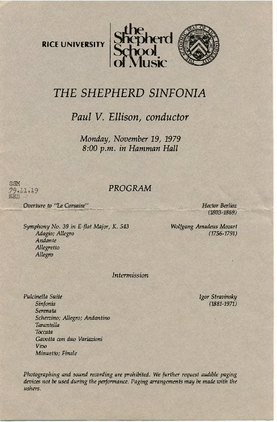



## *THE SHEPHERD SINFONIA*

*Paul V. Ellison, conductor* 

*Monday, November 19, 1979 8:00 p.m. in Hamman Hall* 

SSM 79.11.19

## *PROGRAM*

**Overture to "Le Corsaire"** *Hector Berlioz* 

*Symphony No.* 39 *in E-flat Major, K. 543 Ada gin; Allegro Andante Allegretto Allegro* 

 $(1803 - 1869)$ 

*Wolfgang Amadeus Mozart* (1756-1791)

*Intermission* 

*Pulcine/la Suite Sinfonia Serenata Scherzino; Allegro; Andantino Tarantella Toccata Gavotta con duo Variazinni Vivo Minuetto; Finale* 

*Igor Stravinsky*  (1881-1971)

Photographing and sound recording are prohibited. We further request audible paging *devices not be used during the perfonnance. Paging arrangements may be made with the ushers.*